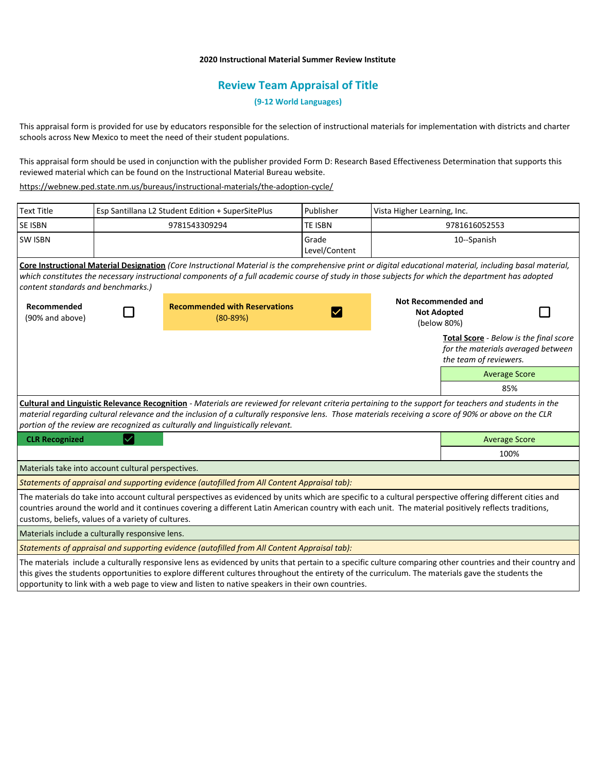## **2020 Instructional Material Summer Review Institute**

## **Review Team Appraisal of Title**

**(9-12 World Languages)**

This appraisal form is provided for use by educators responsible for the selection of instructional materials for implementation with districts and charter schools across New Mexico to meet the need of their student populations.

This appraisal form should be used in conjunction with the publisher provided Form D: Research Based Effectiveness Determination that supports this reviewed material which can be found on the Instructional Material Bureau website.

<https://webnew.ped.state.nm.us/bureaus/instructional-materials/the-adoption-cycle/>

| <b>Text Title</b>                                                                                                                                                                                                                                                                                                                                                                                   | Esp Santillana L2 Student Edition + SuperSitePlus |                                                      | Publisher              | Vista Higher Learning, Inc.                                     |                                                                                                               |  |  |
|-----------------------------------------------------------------------------------------------------------------------------------------------------------------------------------------------------------------------------------------------------------------------------------------------------------------------------------------------------------------------------------------------------|---------------------------------------------------|------------------------------------------------------|------------------------|-----------------------------------------------------------------|---------------------------------------------------------------------------------------------------------------|--|--|
| <b>SE ISBN</b>                                                                                                                                                                                                                                                                                                                                                                                      |                                                   | 9781543309294                                        | <b>TE ISBN</b>         | 9781616052553                                                   |                                                                                                               |  |  |
| <b>SW ISBN</b>                                                                                                                                                                                                                                                                                                                                                                                      |                                                   |                                                      | Grade<br>Level/Content | 10--Spanish                                                     |                                                                                                               |  |  |
| Core Instructional Material Designation (Core Instructional Material is the comprehensive print or digital educational material, including basal material,<br>which constitutes the necessary instructional components of a full academic course of study in those subjects for which the department has adopted<br>content standards and benchmarks.)                                              |                                                   |                                                      |                        |                                                                 |                                                                                                               |  |  |
| Recommended<br>(90% and above)                                                                                                                                                                                                                                                                                                                                                                      |                                                   | <b>Recommended with Reservations</b><br>$(80 - 89%)$ | $\checkmark$           | <b>Not Recommended and</b><br><b>Not Adopted</b><br>(below 80%) |                                                                                                               |  |  |
|                                                                                                                                                                                                                                                                                                                                                                                                     |                                                   |                                                      |                        |                                                                 | <b>Total Score</b> - Below is the final score<br>for the materials averaged between<br>the team of reviewers. |  |  |
|                                                                                                                                                                                                                                                                                                                                                                                                     |                                                   |                                                      |                        |                                                                 | <b>Average Score</b>                                                                                          |  |  |
|                                                                                                                                                                                                                                                                                                                                                                                                     |                                                   |                                                      |                        |                                                                 | 85%                                                                                                           |  |  |
| Cultural and Linguistic Relevance Recognition - Materials are reviewed for relevant criteria pertaining to the support for teachers and students in the<br>material regarding cultural relevance and the inclusion of a culturally responsive lens. Those materials receiving a score of 90% or above on the CLR<br>portion of the review are recognized as culturally and linguistically relevant. |                                                   |                                                      |                        |                                                                 |                                                                                                               |  |  |
| <b>CLR Recognized</b>                                                                                                                                                                                                                                                                                                                                                                               |                                                   |                                                      |                        |                                                                 | <b>Average Score</b>                                                                                          |  |  |
|                                                                                                                                                                                                                                                                                                                                                                                                     |                                                   |                                                      |                        |                                                                 | 100%                                                                                                          |  |  |
| Materials take into account cultural perspectives.                                                                                                                                                                                                                                                                                                                                                  |                                                   |                                                      |                        |                                                                 |                                                                                                               |  |  |
| Statements of appraisal and supporting evidence (autofilled from All Content Appraisal tab):                                                                                                                                                                                                                                                                                                        |                                                   |                                                      |                        |                                                                 |                                                                                                               |  |  |
| The materials do take into account cultural perspectives as evidenced by units which are specific to a cultural perspective offering different cities and<br>countries around the world and it continues covering a different Latin American country with each unit. The material positively reflects traditions,<br>customs, beliefs, values of a variety of cultures.                             |                                                   |                                                      |                        |                                                                 |                                                                                                               |  |  |
| Materials include a culturally responsive lens.                                                                                                                                                                                                                                                                                                                                                     |                                                   |                                                      |                        |                                                                 |                                                                                                               |  |  |
| Statements of appraisal and supporting evidence (autofilled from All Content Appraisal tab):                                                                                                                                                                                                                                                                                                        |                                                   |                                                      |                        |                                                                 |                                                                                                               |  |  |
| The materials include a culturally responsive lens as evidenced by units that pertain to a specific culture comparing other countries and their country and<br>this gives the students opportunities to explore different cultures throughout the entirety of the curriculum. The materials gave the students the                                                                                   |                                                   |                                                      |                        |                                                                 |                                                                                                               |  |  |

opportunity to link with a web page to view and listen to native speakers in their own countries.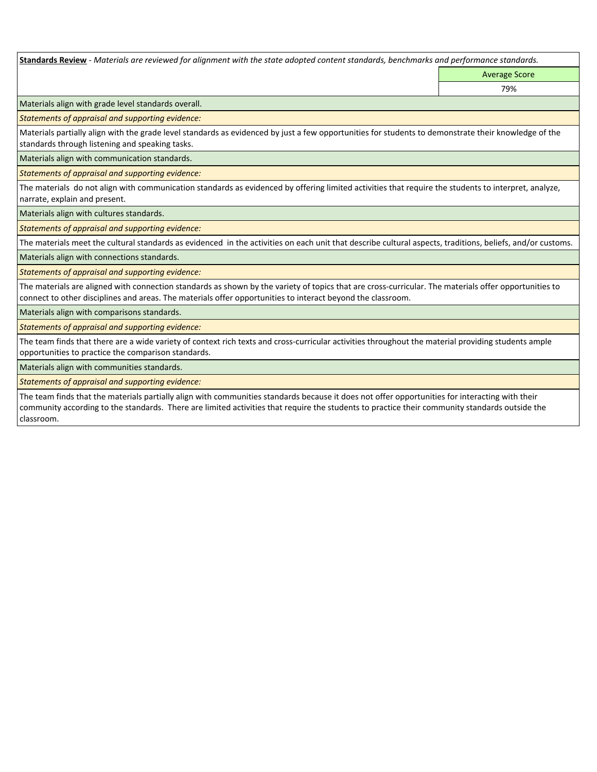**Standards Review** *- Materials are reviewed for alignment with the state adopted content standards, benchmarks and performance standards.*

Average Score 79%

Materials align with grade level standards overall.

*Statements of appraisal and supporting evidence:* 

Materials partially align with the grade level standards as evidenced by just a few opportunities for students to demonstrate their knowledge of the standards through listening and speaking tasks.

Materials align with communication standards.

*Statements of appraisal and supporting evidence:* 

The materials do not align with communication standards as evidenced by offering limited activities that require the students to interpret, analyze, narrate, explain and present.

Materials align with cultures standards.

*Statements of appraisal and supporting evidence:* 

The materials meet the cultural standards as evidenced in the activities on each unit that describe cultural aspects, traditions, beliefs, and/or customs.

Materials align with connections standards.

*Statements of appraisal and supporting evidence:* 

The materials are aligned with connection standards as shown by the variety of topics that are cross-curricular. The materials offer opportunities to connect to other disciplines and areas. The materials offer opportunities to interact beyond the classroom.

Materials align with comparisons standards.

*Statements of appraisal and supporting evidence:* 

The team finds that there are a wide variety of context rich texts and cross-curricular activities throughout the material providing students ample opportunities to practice the comparison standards.

Materials align with communities standards.

*Statements of appraisal and supporting evidence:* 

The team finds that the materials partially align with communities standards because it does not offer opportunities for interacting with their community according to the standards. There are limited activities that require the students to practice their community standards outside the classroom.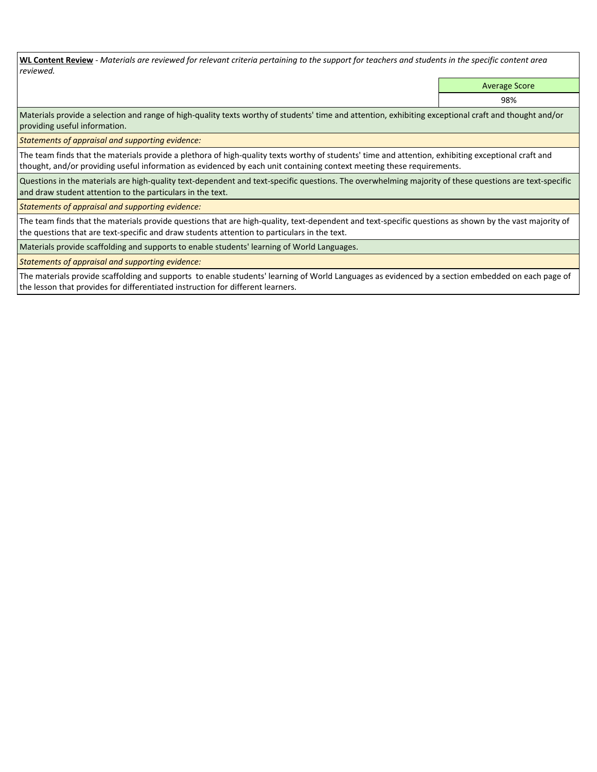**WL Content Review** *- Materials are reviewed for relevant criteria pertaining to the support for teachers and students in the specific content area reviewed.*

Average Score

98%

Materials provide a selection and range of high-quality texts worthy of students' time and attention, exhibiting exceptional craft and thought and/or providing useful information.

*Statements of appraisal and supporting evidence:* 

The team finds that the materials provide a plethora of high-quality texts worthy of students' time and attention, exhibiting exceptional craft and thought, and/or providing useful information as evidenced by each unit containing context meeting these requirements.

Questions in the materials are high-quality text-dependent and text-specific questions. The overwhelming majority of these questions are text-specific and draw student attention to the particulars in the text.

*Statements of appraisal and supporting evidence:* 

The team finds that the materials provide questions that are high-quality, text-dependent and text-specific questions as shown by the vast majority of the questions that are text-specific and draw students attention to particulars in the text.

Materials provide scaffolding and supports to enable students' learning of World Languages.

*Statements of appraisal and supporting evidence:* 

The materials provide scaffolding and supports to enable students' learning of World Languages as evidenced by a section embedded on each page of the lesson that provides for differentiated instruction for different learners.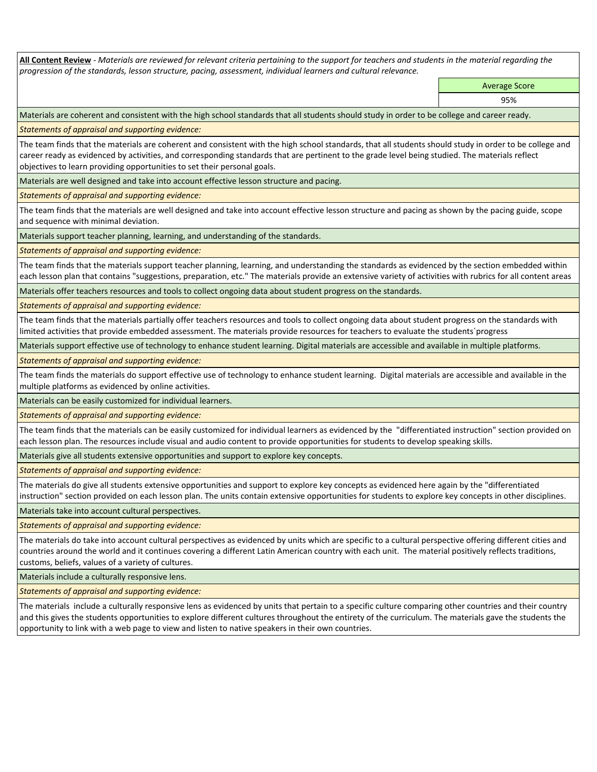**All Content Review** *- Materials are reviewed for relevant criteria pertaining to the support for teachers and students in the material regarding the progression of the standards, lesson structure, pacing, assessment, individual learners and cultural relevance.*

> Average Score 95%

Materials are coherent and consistent with the high school standards that all students should study in order to be college and career ready.

*Statements of appraisal and supporting evidence:*

The team finds that the materials are coherent and consistent with the high school standards, that all students should study in order to be college and career ready as evidenced by activities, and corresponding standards that are pertinent to the grade level being studied. The materials reflect objectives to learn providing opportunities to set their personal goals.

Materials are well designed and take into account effective lesson structure and pacing.

*Statements of appraisal and supporting evidence:*

The team finds that the materials are well designed and take into account effective lesson structure and pacing as shown by the pacing guide, scope and sequence with minimal deviation.

Materials support teacher planning, learning, and understanding of the standards.

*Statements of appraisal and supporting evidence:*

The team finds that the materials support teacher planning, learning, and understanding the standards as evidenced by the section embedded within each lesson plan that contains "suggestions, preparation, etc." The materials provide an extensive variety of activities with rubrics for all content areas

Materials offer teachers resources and tools to collect ongoing data about student progress on the standards.

*Statements of appraisal and supporting evidence:*

The team finds that the materials partially offer teachers resources and tools to collect ongoing data about student progress on the standards with limited activities that provide embedded assessment. The materials provide resources for teachers to evaluate the students´progress

Materials support effective use of technology to enhance student learning. Digital materials are accessible and available in multiple platforms.

*Statements of appraisal and supporting evidence:*

The team finds the materials do support effective use of technology to enhance student learning. Digital materials are accessible and available in the multiple platforms as evidenced by online activities.

Materials can be easily customized for individual learners.

*Statements of appraisal and supporting evidence:* 

The team finds that the materials can be easily customized for individual learners as evidenced by the "differentiated instruction" section provided on each lesson plan. The resources include visual and audio content to provide opportunities for students to develop speaking skills.

Materials give all students extensive opportunities and support to explore key concepts.

*Statements of appraisal and supporting evidence:*

The materials do give all students extensive opportunities and support to explore key concepts as evidenced here again by the "differentiated instruction" section provided on each lesson plan. The units contain extensive opportunities for students to explore key concepts in other disciplines.

Materials take into account cultural perspectives.

*Statements of appraisal and supporting evidence:*

The materials do take into account cultural perspectives as evidenced by units which are specific to a cultural perspective offering different cities and countries around the world and it continues covering a different Latin American country with each unit. The material positively reflects traditions, customs, beliefs, values of a variety of cultures.

Materials include a culturally responsive lens.

*Statements of appraisal and supporting evidence:*

The materials include a culturally responsive lens as evidenced by units that pertain to a specific culture comparing other countries and their country and this gives the students opportunities to explore different cultures throughout the entirety of the curriculum. The materials gave the students the opportunity to link with a web page to view and listen to native speakers in their own countries.